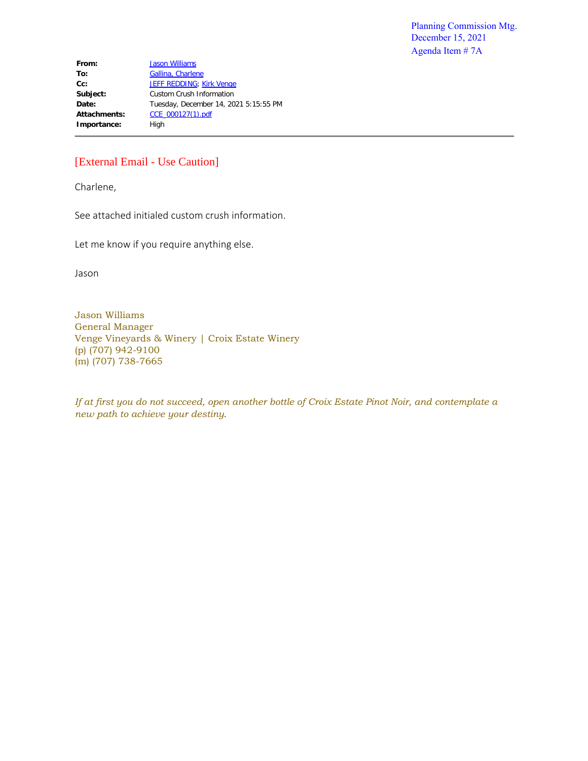**From:** [Jason Williams](mailto:jason@vengevineyards.com) To: [Gallina, Charlene](mailto:Charlene.Gallina@countyofnapa.org) Cc: [JEFF REDDING](mailto:jreddingaicp@comcast.net); [Kirk Venge](mailto:kirk@vengevineyards.com) **Subject:** Custom Crush Information **Date:** Tuesday, December 14, 2021 5:15:55 PM Attachments: CCE\_000127(1).pdf Importance: High

## [External Email - Use Caution]

Charlene,

See attached initialed custom crush information.

Let me know if you require anything else.

Jason

Jason Williams General Manager Venge Vineyards & Winery | Croix Estate Winery (p) (707) 942-9100 (m) (707) 738-7665

*If at first you do not succeed, open another bottle of Croix Estate Pinot Noir, and contemplate a new path to achieve your destiny.*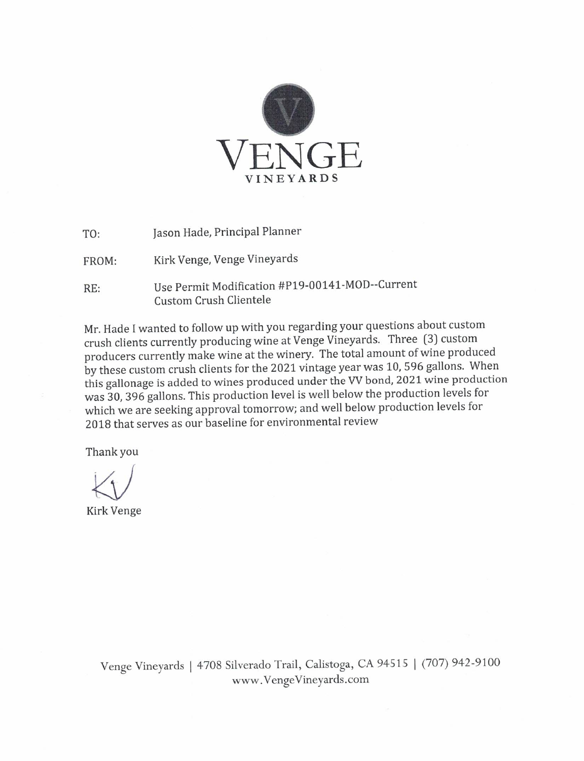

Jason Hade, Principal Planner  $TO:$ 

Kirk Venge, Venge Vineyards FROM:

Use Permit Modification #P19-00141-MOD--Current RE: **Custom Crush Clientele** 

Mr. Hade I wanted to follow up with you regarding your questions about custom crush clients currently producing wine at Venge Vineyards. Three (3) custom producers currently make wine at the winery. The total amount of wine produced by these custom crush clients for the 2021 vintage year was 10, 596 gallons. When this gallonage is added to wines produced under the VV bond, 2021 wine production was 30, 396 gallons. This production level is well below the production levels for which we are seeking approval tomorrow; and well below production levels for 2018 that serves as our baseline for environmental review

Thank you

Kirk Venge

Venge Vineyards | 4708 Silverado Trail, Calistoga, CA 94515 | (707) 942-9100 www.VengeVineyards.com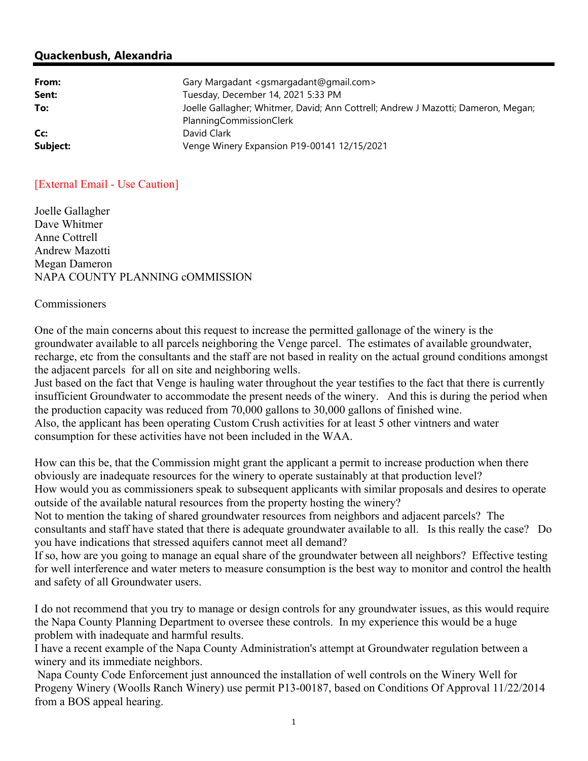## **Quackenbush, Alexandria**

| From:           | Gary Margadant <gsmargadant@gmail.com></gsmargadant@gmail.com>                                               |
|-----------------|--------------------------------------------------------------------------------------------------------------|
| Sent:           | Tuesday, December 14, 2021 5:33 PM                                                                           |
| To:             | Joelle Gallagher; Whitmer, David; Ann Cottrell; Andrew J Mazotti; Dameron, Megan;<br>PlanningCommissionClerk |
| Cc:<br>Subject: | David Clark<br>Venge Winery Expansion P19-00141 12/15/2021                                                   |
|                 |                                                                                                              |

## [External Email - Use Caution]

Joelle Gallagher Dave Whitmer Anne Cottrell Andrew Mazotti Megan Dameron NAPA COUNTY PLANNING cOMMISSION

## Commissioners

One of the main concerns about this request to increase the permitted gallonage of the winery is the groundwater available to all parcels neighboring the Venge parcel. The estimates of available groundwater, recharge, etc from the consultants and the staff are not based in reality on the actual ground conditions amongst the adjacent parcels for all on site and neighboring wells.

Just based on the fact that Venge is hauling water throughout the year testifies to the fact that there is currently insufficient Groundwater to accommodate the present needs of the winery. And this is during the period when the production capacity was reduced from 70,000 gallons to 30,000 gallons of finished wine. Also, the applicant has been operating Custom Crush activities for at least 5 other vintners and water consumption for these activities have not been included in the WAA.

How can this be, that the Commission might grant the applicant a permit to increase production when there obviously are inadequate resources for the winery to operate sustainably at that production level? How would you as commissioners speak to subsequent applicants with similar proposals and desires to operate outside of the available natural resources from the property hosting the winery?

Not to mention the taking of shared groundwater resources from neighbors and adjacent parcels? The consultants and staff have stated that there is adequate groundwater available to all. Is this really the case? Do you have indications that stressed aquifers cannot meet all demand?

If so, how are you going to manage an equal share of the groundwater between all neighbors? Effective testing for well interference and water meters to measure consumption is the best way to monitor and control the health and safety of all Groundwater users.

I do not recommend that you try to manage or design controls for any groundwater issues, as this would require the Napa County Planning Department to oversee these controls. In my experience this would be a huge problem with inadequate and harmful results.

I have a recent example of the Napa County Administration's attempt at Groundwater regulation between a winery and its immediate neighbors.

 Napa County Code Enforcement just announced the installation of well controls on the Winery Well for Progeny Winery (Woolls Ranch Winery) use permit P13-00187, based on Conditions Of Approval 11/22/2014 from a BOS appeal hearing.